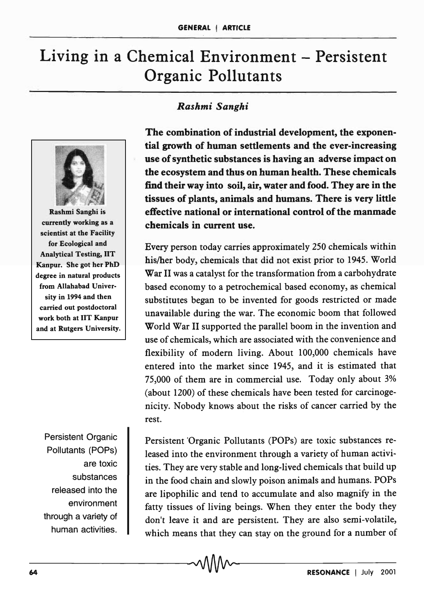# Living in a Chemical Environment - Persistent Organic Pollutants

## *Rashmi Sanghi*



Rashmi Sanghi is currently working as a scientist at the Facility for Ecological and Analytical Testing, lIT Kanpur. She got her PhD degree in natural products from Allahabad University in 1994 and then carried out postdoctoral work both at lIT Kanpur and at Rutgers University.

Persistent Organic Pollutants (POPs) are toxic substances released into the environment through a variety of human activities.

The combination of industrial development, the exponential growth of human settlements and the ever-increasing use of synthetic substances is having an adverse impact on the ecosystem and thus on human health. These chemicals find their way into soil, air, water and food. They are in the tissues of plants, animals and humans. There is very little effective national or international control of the manmade chemicals in current use.

Every person today carries approximately 250 chemicals within his/her body, chemicals that did not exist prior to 1945. World War II was a catalyst for the transformation from a carbohydrate based economy to a petrochemical based economy, as chemical substitutes began to be invented for goods restricted or made unavailable during the war. The economic boom that followed World War II supported the parallel boom in the invention and use of chemicals, which are associated with the convenience and flexibility of modern living. About 100,000 chemicals have entered into the market since 1945, and it is estimated that 75,000 of them are in commercial use. Today only about 3% (about 1200) of these chemicals have been tested for carcinogenicity. Nobody knows about the risks of cancer carried by the rest.

Persistent Organic Pollutants (POPs) are toxic substances released into the environment through a variety of human activities. They are very stable and long-lived chemicals that build up in the food chain and slowly poison animals and humans. POPs are lipophilic and tend to accumulate and also magnify in the fatty tissues of living beings. When they enter the body they don't leave it and are persistent. They are also semi-volatile, which means that they can stay on the ground for a number of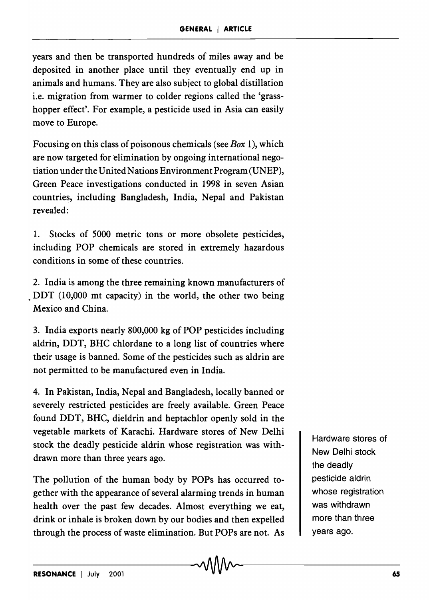years and then be transported hundreds of miles away and be deposited in another place until they eventually end up in animals and humans. They are also subject to global distillation i.e. migration from warmer to colder regions called the 'grasshopper effect'. For example, a pesticide used in Asia can easily move to Europe.

Focusing on this class of poisonous chemicals (see *Box* 1), which are now targeted for elimination by ongoing international negotiation under the United Nations Environment Program (UNEP), Green Peace investigations conducted in 1998 in seven Asian countries, including Bangladesh, India, Nepal and Pakistan revealed:

1. Stocks of 5000 metric tons or more obsolete pesticides, including POP chemicals are stored in extremely hazardous conditions in some of these countries.

2. India is among the three remaining known manufacturers of • DDT (10,000 mt capacity) in the world, the other two being Mexico and China.

3. India exports nearly 800,000 kg of POP pesticides including aldrin, DDT, BHC chlordane to a long list of countries where their usage is banned. Some of the pesticides such as aldrin are not permitted to be manufactured even in India.

4. In Pakistan, India, Nepal and Bangladesh, locally banned or severely restricted pesticides are freely available. Green Peace found DDT, BHC, dieldrin and heptachlor openly sold in the vegetable markets of Karachi. Hardware stores of New Delhi stock the deadly pesticide aldrin whose registration was withdrawn more than three years ago.

The pollution of the human body by POPs has occurred together with the appearance of several alarming trends in human health over the past few decades. Almost everything we eat, drink or inhale is broken down by our bodies and then expelled through the process of waste elimination. But POPs are not. As

Hardware stores of New Delhi stock the deadly pesticide aldrin whose registration was withdrawn more than three years ago.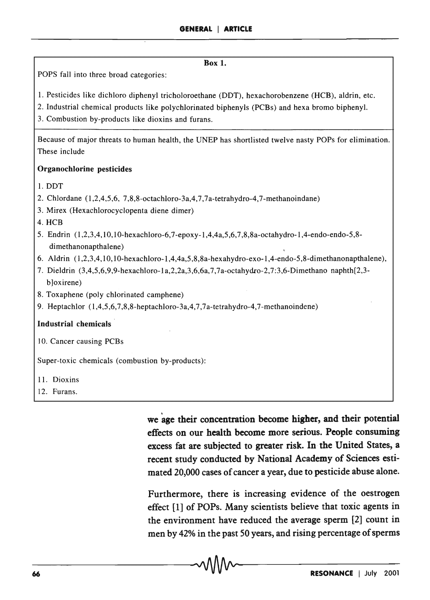#### Box 1.

POPS fall into three broad categories:

- 1. Pesticides like dichloro diphenyl tricholoroethane (DDT), hexachorobenzene (HCB), aldrin, etc.
- 2. Industrial chemical products like polychlorinated biphenyls (PCBs) and hexa bromo biphenyl.
- 3. Combustion by-products like dioxins and furans.

Because of major threats to human health, the UNEP has shortlisted twelve nasty POPs for elimination. These include

#### Organochlorine pesticides

1. DDT

- 2. Chlordane (1,2,4,5,6, 7,S,S-octachloro-3a,4,7,7a-tetrahydro-4,7-methanoindane)
- 3. Mirex (Hexachlorocyclopenta diene dimer)
- 4. HCB
- 5. Endrin (1,2,3,4,10, lO-hexachloro-6,7-epoxy-1 ,4,4a,5,6,7 ,S,Sa-octahydro-l ,4-endo-endo-5,8 dimethanonapthalene)
- 6. Aldrin (1,2,3,4,10,1 O-hexachloro-l ,4,4a,5 ,S,Sa-hexahydro-exo-l ,4-endo-5,S-dimethanonapthalene),
- 7. Dieldrin (3,4,5,6,9,9-hexachloro-la,2,2a,3,6,6a,7,7a-octahydro-2,7:3,6-Dimethano naphth[2,3 b]oxirene)
- S. Toxaphene (poly chlorinated camphene)
- 9. Heptachlor (1,4,5,6,7,8,8-heptachloro-3a,4,7,7a-tetrahydro-4,7-methanoindene)

#### Industrial chemicals

10. Cancer causing PCBs

Super-toxic chemicals (combustion by-products):

- 11. Dioxins
- 12. Furans.

we age their concentration become higher, and their potential effects on our health become more serious. People consuming excess fat are subjected to greater risk. In the United States, a recent study conducted by National Academy of Sciences estimated 20,000 cases of cancer a year, due to pesticide abuse alone.

Furthermore, there is increasing evidence of the oestrogen effect [1] of POPs. Many scientists believe that toxic agents in the environment have reduced the average sperm [2] count in men by 42% in the past SO years, and rising percentage of sperms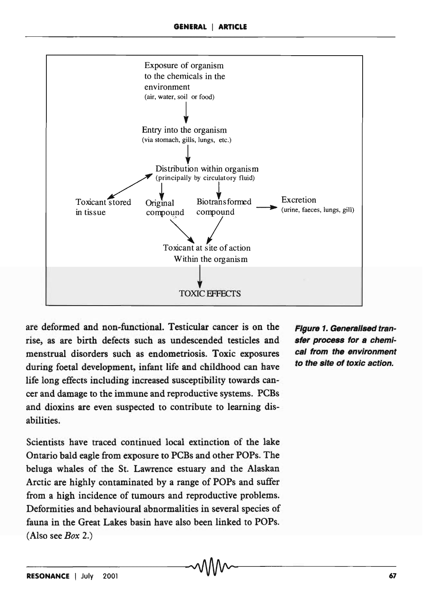

are deformed and non-functional. Testicular cancer is on the rise, as are birth defects such as undescended testicles and menstrual disorders such as endometriosis. Toxic exposures during foetal development, infant life and childhood can have life long effects including increased susceptibility towards cancer and damage to the immune and reproductive systems. PCBs and dioxins are even suspected to contribute to learning disabilities.

Scientists have traced continued local extinction of the lake Ontario bald eagle from exposure to PCBs and other POPs. The beluga whales of the St. Lawrence estuary and the Alaskan Arctic are highly contaminated by a range of POPs and suffer from a high incidence of tumours and reproductive problems. Deformities and behavioural abnormalities in several species of fauna in the Great Lakes basin have also been linked to POPs. (Also see *Box 2.)* 

Figure 1. Generalised transfer process for a chemical from the environment to the site of toxic action.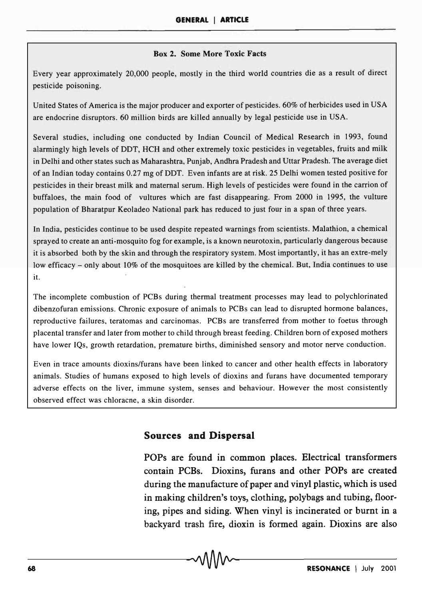#### Box 2. Some More Toxic Facts

Every year approximately 20,000 people, mostly in the third world countries die as a result of direct pesticide poisoning.

United States of America is the major producer and exporter of pesticides. 60% of herbicides used in USA are endocrine disruptors. 60 million birds are killed annually by legal pesticide use in USA.

Several studies, including one conducted by Indian Council of Medical Research in 1993, found alarmingly high levels of DDT, HCH and other extremely toxic pesticides in vegetables, fruits and milk in Delhi and other states such as Maharashtra, Punjab, Andhra Pradesh and Uttar Pradesh. The average diet of an Indian today contains 0.27 mg of DDT. Even infants are at risk. 25 Delhi women tested positive for pesticides in their breast milk and maternal serum. High levels of pesticides were found in the carrion of buffaloes, the main food of vultures which are fast disappearing. From 2000 in 1995, the vulture population of Bharatpur Keoladeo National park has reduced to just four in a span of three years.

In India, pesticides continue to be used despite repeated warnings from scientists. Malathion, a chemical sprayed to create an anti-mosquito fog for example, is a known neurotoxin, particularly dangerous because it is absorbed both by the skin and through the respiratory system. Most importantly, it has an extre-mely low efficacy - only about 10% of the mosquitoes are killed by the chemical. But, India continues to use it.

The incomplete combustion of PCBs during thermal treatment processes may lead to polychlorinated dibenzofuran emissions. Chronic exposure of animals to PCBs can lead to disrupted hormone balances, reproductive failures, teratomas and carcinomas. PCBs are transferred from mother to foetus through placental transfer and later from mother to child through breast feeding. Children born of exposed mothers have lower IQs, growth retardation, premature births, diminished sensory and motor nerve conduction.

Even in trace amounts dioxins/furans have been linked to cancer and other health effects in laboratory animals. Studies of humans exposed to high levels of dioxins and furans have documented temporary adverse effects on the liver, immune system, senses and behaviour. However the most consistently observed effect was chloracne, a skin disorder.

### **Sources and Dispersal**

POPs are found in common places. Electrical transformers contain PCBs. Dioxins, furans and other POPs are created during the manufacture of paper and vinyl plastic, which is used in making children's toys, clothing, polybags and tubing, flooring, pipes and siding. When vinyl is incinerated or burnt in a backyard trash fire, dioxin is formed again. Dioxins are also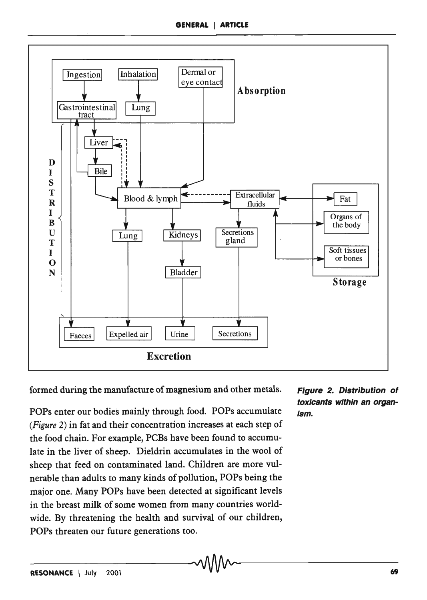

formed during the manufacture of magnesium and other metals.

POPs enter our bodies mainly through food. POPs accumulate *(Figure* 2) in fat and their concentration increases at each step of the food chain. For example, PCBs have been found to accumulate in the liver of sheep. Dieldrin accumulates in the wool of sheep that feed on contaminated land. Children are more vulnerable than adults to many kinds of pollution, POPs being the major one. Many POPs have been detected at significant levels in the breast milk of some women from many countries worldwide. By threatening the health and survival of our children, POPs threaten our future generations too.

Figure 2. Distribution of toxicants within an organism.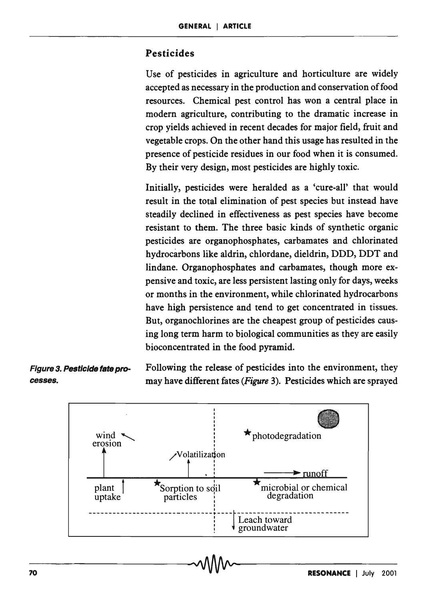#### Pesticides

Use of pesticides in agriculture and horticulture are widely accepted as necessary in the production and conservation of food resources. Chemical pest control has won a central place in modern agriculture, contributing to the dramatic increase in crop yields achieved in recent decades for major field, fruit and vegetable crops. On the other hand this usage has resulted in the presence of pesticide residues in our food when it is consumed. By their very design, most pesticides are highly toxic.

Initially, pesticides were heralded as a 'cure-all' that would result in the total elimination of pest species but instead have steadily declined in effectiveness as pest species have become resistant to them. The three basic kinds of synthetic organic pesticides are organophosphates, carbamates and chlorinated hydrocarbons like aldrin, chlordane, dieldrin, DDD, DDT and lindane. Organophosphates and carbamates, though more expensive and toxic, are less persistent lasting only for days, weeks or months in the environment, while chlorinated hydrocarbons have high persistence and tend to get concentrated in tissues. But, organochlorines are the cheapest group of pesticides causing long term harm to biological communities as they are easily bioconcentrated in the food pyramid.



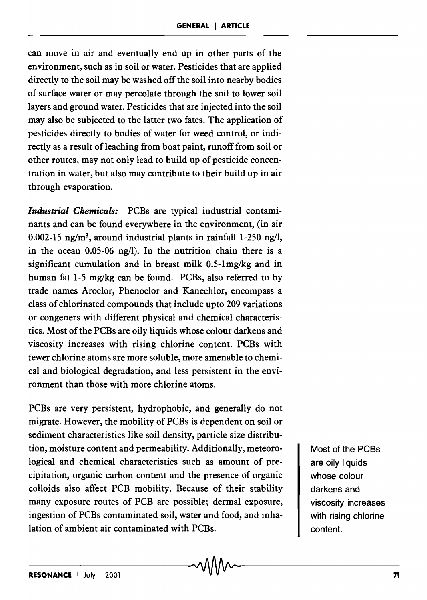can move in air and eventually end up in other parts of the environment, such as in soil or water. Pesticides that are applied directly to the soil may be washed off the soil into nearby bodies of surface water or may percolate through the soil to lower soil layers and ground water. Pesticides that are injected into the soil may also be subjected to the latter two fates. The application of pesticides directly to bodies of water for weed control, or indirectly as a result of leaching from boat paint, runoff from soil or other routes, may not only lead to build up of pesticide concentration in water, but also may contribute to their build up in air through evaporation.

*Industrial Chemicals:* PCBs are typical industrial contaminants and can be found everywhere in the environment, (in air 0.002-15 ng/m<sup>3</sup>, around industrial plants in rainfall 1-250 ng/l, in the ocean 0.05-06 ng/l). In the nutrition chain there is a significant cumulation and in breast milk 0.5-1mg/kg and in human fat 1-5 mg/kg can be found. PCBs, also referred to by trade names Aroclor, Phenoclor and Kanechlor, encompass a class of chlorinated compounds that include upto 209 variations or congeners with different physical and chemical characteristics. Most of the PCBs are oily liquids whose colour darkens and viscosity increases with rising chlorine content. PCBs with fewer chlorine atoms are more soluble, more amenable to chemical and biological degradation, and less persistent in the environment than those with more chlorine atoms.

PCBs are very persistent, hydrophobic, and generally do not migrate. However, the mobility of PCBs is dependent on soil or sediment characteristics like soil density, particle size distribution, moisture content and permeability. Additionally, meteorological and chemical characteristics such as amount of precipitation, organic carbon content and the presence of organic colloids also affect PCB mobility. Because of their stability many exposure routes of PCB are possible; dermal exposure, ingestion of PCBs contaminated soil, water and food, and inhalation of ambient air contaminated with PCBs.

Most of the PCBs are oily liquids whose colour darkens and viscosity increases with rising chlorine content.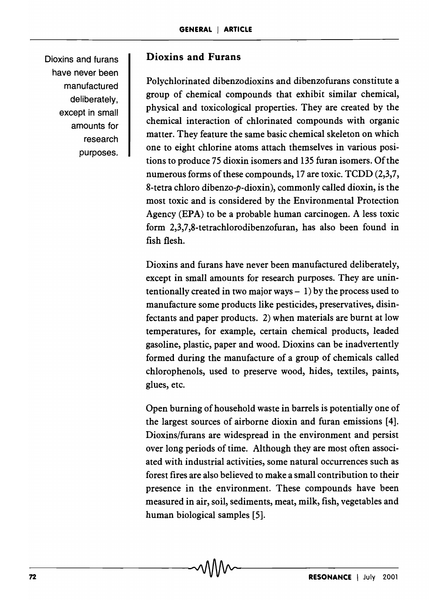Dioxins and furans have never been manufactured deliberately, except in small amounts for research purposes.

## **Dioxins and Furans**

Polychlorinated dibenzodioxins and dibenzofurans constitute a group of chemical compounds that exhibit similar chemical, physical and toxicological properties. They are created by the chemical interaction of chlorinated compounds with organic matter. They feature the same basic chemical skeleton on which one to eight chlorine atoms attach themselves in various positions to produce 75 dioxin isomers and 135 furan isomers. Of the numerous forms of these compounds, 17 are toxic. TCDD (2,3,7, 8-tetra chloro dibenzo-p-dioxin), commonly called dioxin, is the most toxic and is considered by the Environmental Protection Agency (EPA) to be a probable human carcinogen. A less toxic form 2,3,7,8-tetrachlorodibenzofuran, has also been found in fish flesh.

Dioxins and furans have never been manufactured deliberately, except in small amounts for research purposes. They are unintentionally created in two major ways  $-1$ ) by the process used to manufacture some products like pesticides, preservatives, disinfectants and paper products. 2) when materials are burnt at low temperatures, for example, certain chemical products, leaded gasoline, plastic, paper and wood. Dioxins can be inadvertently formed during the manufacture of a group of chemicals called chlorophenols, used to preserve wood, hides, textiles, paints, glues, etc.

Open burning of household waste in barrels is potentially one of the largest sources of airborne dioxin and furan emissions [4]. Dioxins/furans are widespread in the environment and persist over long periods of time. Although they are most often associated with industrial activities, some natural occurrences such as forest fires are also believed to make a small contribution to their presence in the environment. These compounds have been measured in air, soil, sediments, meat, milk, fish, vegetables and human biological samples [5].